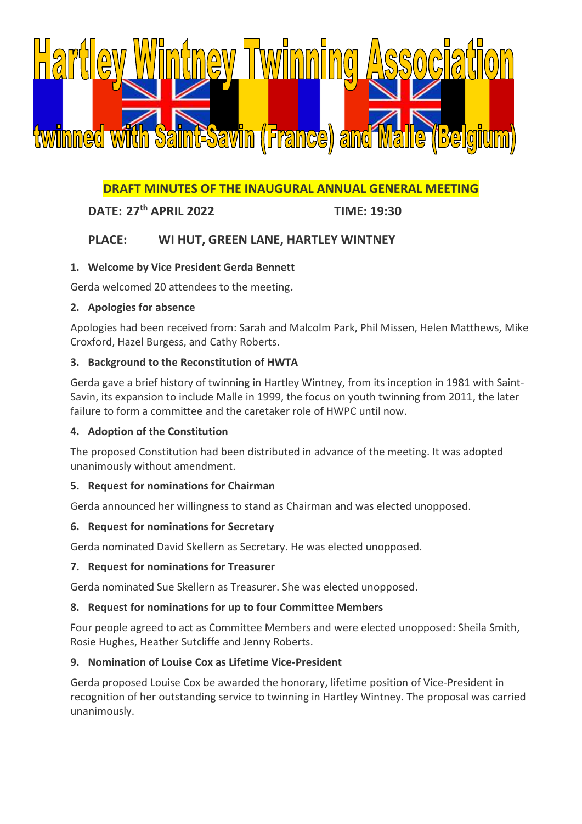

# **DRAFT MINUTES OF THE INAUGURAL ANNUAL GENERAL MEETING**

# **DATE: 27th APRIL 2022 TIME: 19:30**

# **PLACE: WI HUT, GREEN LANE, HARTLEY WINTNEY**

# **1. Welcome by Vice President Gerda Bennett**

Gerda welcomed 20 attendees to the meeting**.**

#### **2. Apologies for absence**

Apologies had been received from: Sarah and Malcolm Park, Phil Missen, Helen Matthews, Mike Croxford, Hazel Burgess, and Cathy Roberts.

#### **3. Background to the Reconstitution of HWTA**

Gerda gave a brief history of twinning in Hartley Wintney, from its inception in 1981 with Saint-Savin, its expansion to include Malle in 1999, the focus on youth twinning from 2011, the later failure to form a committee and the caretaker role of HWPC until now.

# **4. Adoption of the Constitution**

The proposed Constitution had been distributed in advance of the meeting. It was adopted unanimously without amendment.

# **5. Request for nominations for Chairman**

Gerda announced her willingness to stand as Chairman and was elected unopposed.

#### **6. Request for nominations for Secretary**

Gerda nominated David Skellern as Secretary. He was elected unopposed.

#### **7. Request for nominations for Treasurer**

Gerda nominated Sue Skellern as Treasurer. She was elected unopposed.

# **8. Request for nominations for up to four Committee Members**

Four people agreed to act as Committee Members and were elected unopposed: Sheila Smith, Rosie Hughes, Heather Sutcliffe and Jenny Roberts.

# **9. Nomination of Louise Cox as Lifetime Vice-President**

Gerda proposed Louise Cox be awarded the honorary, lifetime position of Vice-President in recognition of her outstanding service to twinning in Hartley Wintney. The proposal was carried unanimously.